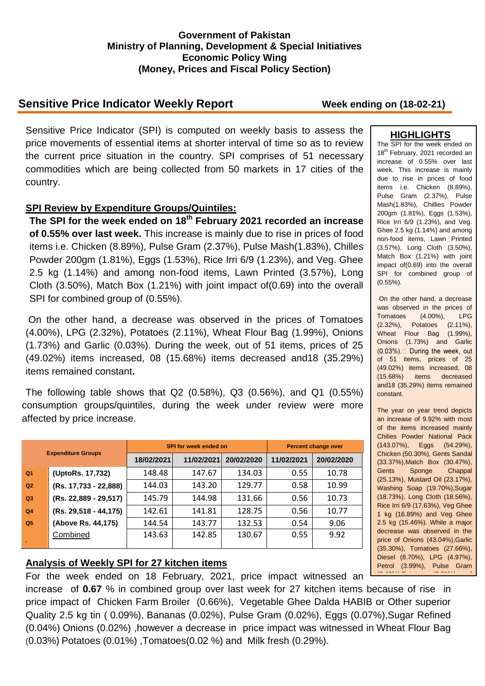### **Government of Pakistan Ministry of Planning, Development & Special Initiatives Economic Policy Wing (Money, Prices and Fiscal Policy Section)**

# **Sensitive Price Indicator Weekly Report Week ending on (18-02-21)**

Sensitive Price Indicator (SPI) is computed on weekly basis to assess the price movements of essential items at shorter interval of time so as to review the current price situation in the country. SPI comprises of 51 necessary commodities which are being collected from 50 markets in 17 cities of the country.

### **SPI Review by Expenditure Groups/Quintiles:**

**The SPI for the week ended on 18th February 2021 recorded an increase of 0.55% over last week.** This increase is mainly due to rise in prices of food items i.e. Chicken (8.89%), Pulse Gram (2.37%), Pulse Mash(1.83%), Chilles Powder 200gm (1.81%), Eggs (1.53%), Rice Irri 6/9 (1.23%), and Veg. Ghee 2.5 kg (1.14%) and among non-food items, Lawn Printed (3.57%), Long Cloth (3.50%), Match Box (1.21%) with joint impact of(0.69) into the overall SPI for combined group of (0.55%).

On the other hand, a decrease was observed in the prices of Tomatoes (4.00%), LPG (2.32%), Potatoes (2.11%), Wheat Flour Bag (1.99%), Onions (1.73%) and Garlic (0.03%). During the week, out of 51 items, prices of 25 (49.02%) items increased, 08 (15.68%) items decreased and18 (35.29%) items remained constant**.**

The following table shows that Q2 (0.58%), Q3 (0.56%), and Q1 (0.55%) consumption groups/quintiles, during the week under review were more affected by price increase.

| <b>Expenditure Groups</b> |                         |            | <b>SPI for week ended on</b> | <b>Percent change over</b> |            |            |
|---------------------------|-------------------------|------------|------------------------------|----------------------------|------------|------------|
|                           |                         | 18/02/2021 | 11/02/2021                   | 20/02/2020                 | 11/02/2021 | 20/02/2020 |
| Q <sub>1</sub>            | (UptoRs. 17,732)        | 148.48     | 147.67                       | 134.03                     | 0.55       | 10.78      |
| Q2                        | (Rs. 17,733 - 22,888)   | 144.03     | 143.20                       | 129.77                     | 0.58       | 10.99      |
| Q3                        | (Rs. 22,889 - 29,517)   | 145.79     | 144.98                       | 131.66                     | 0.56       | 10.73      |
| Q <sub>4</sub>            | $(Rs. 29,518 - 44,175)$ | 142.61     | 141.81                       | 128.75                     | 0.56       | 10.77      |
| Q <sub>5</sub>            | (Above Rs. 44,175)      | 144.54     | 143.77                       | 132.53                     | 0.54       | 9.06       |
|                           | Combined                | 143.63     | 142.85                       | 130.67                     | 0.55       | 9.92       |

## **Analysis of Weekly SPI for 27 kitchen items**

For the week ended on 18 February, 2021, price impact witnessed an

increase of 0.67 % in combined group over last week for 27 kitchen items because of rise in price impact of Chicken Farm Broiler (0.66%), Vegetable Ghee Dalda HABIB or Other superior Quality 2.5 kg tin ( 0.09%), Bananas (0.02%), Pulse Gram (0.02%), Eggs (0.07%),Sugar Refined (0.04%) Onions (0.02%) ,however a decrease in price impact was witnessed in Wheat Flour Bag (0.03%) Potatoes (0.01%) ,Tomatoes(0.02 %) and Milk fresh (0.29%).

### **HIGHLIGHTS**

The SPI for the week ended on 18<sup>th</sup> February, 2021 recorded an increase of 0.55% over last week. This increase is mainly due to rise in prices of food items i.e. Chicken (8.89%), Pulse Gram (2.37%), Pulse Mash(1.83%), Chillies Powder 200gm (1.81%), Eggs (1.53%), Rice Irri 6/9 (1.23%), and Veg. Ghee 2.5 kg (1.14%) and among non-food items, Lawn Printed (3.57%), Long Cloth (3.50%), Match Box (1.21%) with joint impact of(0.69) into the overall SPI for combined group of (0.55%).

On the other hand, a decrease was observed in the prices of Tomatoes (4.00%), LPG (2.32%), Potatoes (2.11%), Wheat Flour Bag (1.99%), Onions (1.73%) and Garlic (0.03%).□ During the week, out of 51 items, prices of 25 (49.02%) items increased, 08 (15.68%) items decreased and18 (35.29%) items remained constant.

The year on year trend depicts an increase of 9.92% with most of the items increased mainly Chilies Powder National Pack (143.07%), Eggs (54.29%), Chicken (50.30%), Gents Sandal (33.37%),Match Box (30.47%), Gents Sponge Chappal (25.13%), Mustard Oil (23.17%), Washing Soap (19.70%),Sugar (18.73%), Long Cloth (18.56%), Rice Irri 6/9 (17.63%), Veg Ghee 1 kg (16.89%) and Veg Ghee 2.5 kg (15.46%). While a major decrease was observed in the price of Onions (43.04%),Garlic (35.30%), Tomatoes (27.66%), Diesel (8.70%), LPG (4.97%), Petrol (3.99%), Pulse Gram (3.42%), Potatoes (2.81%) and  $2.81$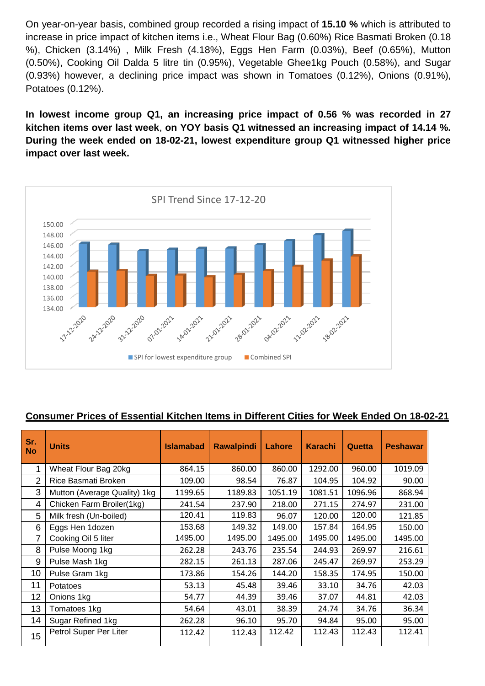On year-on-year basis, combined group recorded a rising impact of **15.10 %** which is attributed to increase in price impact of kitchen items i.e., Wheat Flour Bag (0.60%) Rice Basmati Broken (0.18 %), Chicken (3.14%) , Milk Fresh (4.18%), Eggs Hen Farm (0.03%), Beef (0.65%), Mutton (0.50%), Cooking Oil Dalda 5 litre tin (0.95%), Vegetable Ghee1kg Pouch (0.58%), and Sugar (0.93%) however, a declining price impact was shown in Tomatoes (0.12%), Onions (0.91%), Potatoes (0.12%).

**In lowest income group Q1, an increasing price impact of 0.56 % was recorded in 27 kitchen items over last week**, **on YOY basis Q1 witnessed an increasing impact of 14.14 %. During the week ended on 18-02-21, lowest expenditure group Q1 witnessed higher price impact over last week.**



## **Consumer Prices of Essential Kitchen Items in Different Cities for Week Ended On 18-02-21**

| Sr.<br><b>No</b> | <b>Units</b>                 | <b>Islamabad</b> | <b>Rawalpindi</b> | Lahore  | <b>Karachi</b> | Quetta  | <b>Peshawar</b> |
|------------------|------------------------------|------------------|-------------------|---------|----------------|---------|-----------------|
| 1                | Wheat Flour Bag 20kg         | 864.15           | 860.00            | 860.00  | 1292.00        | 960.00  | 1019.09         |
| 2                | Rice Basmati Broken          | 109.00           | 98.54             | 76.87   | 104.95         | 104.92  | 90.00           |
| 3                | Mutton (Average Quality) 1kg | 1199.65          | 1189.83           | 1051.19 | 1081.51        | 1096.96 | 868.94          |
| 4                | Chicken Farm Broiler(1kg)    | 241.54           | 237.90            | 218.00  | 271.15         | 274.97  | 231.00          |
| 5                | Milk fresh (Un-boiled)       | 120.41           | 119.83            | 96.07   | 120.00         | 120.00  | 121.85          |
| 6                | Eggs Hen 1dozen              | 153.68           | 149.32            | 149.00  | 157.84         | 164.95  | 150.00          |
| 7                | Cooking Oil 5 liter          | 1495.00          | 1495.00           | 1495.00 | 1495.00        | 1495.00 | 1495.00         |
| 8                | Pulse Moong 1kg              | 262.28           | 243.76            | 235.54  | 244.93         | 269.97  | 216.61          |
| 9                | Pulse Mash 1kg               | 282.15           | 261.13            | 287.06  | 245.47         | 269.97  | 253.29          |
| 10               | Pulse Gram 1kg               | 173.86           | 154.26            | 144.20  | 158.35         | 174.95  | 150.00          |
| 11               | Potatoes                     | 53.13            | 45.48             | 39.46   | 33.10          | 34.76   | 42.03           |
| 12               | Onions 1kg                   | 54.77            | 44.39             | 39.46   | 37.07          | 44.81   | 42.03           |
| 13               | Tomatoes 1kg                 | 54.64            | 43.01             | 38.39   | 24.74          | 34.76   | 36.34           |
| 14               | Sugar Refined 1kg            | 262.28           | 96.10             | 95.70   | 94.84          | 95.00   | 95.00           |
| 15               | Petrol Super Per Liter       | 112.42           | 112.43            | 112.42  | 112.43         | 112.43  | 112.41          |